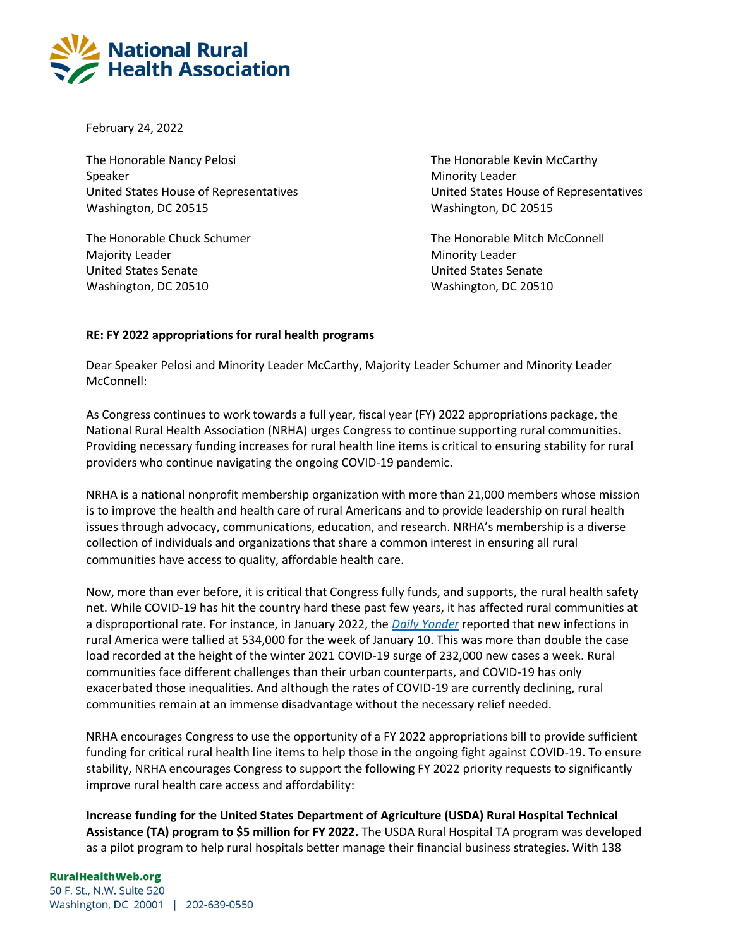

February 24, 2022

The Honorable Nancy Pelosi **The Honorable Kevin McCarthy** Speaker Minority Leader Minority Leader Washington, DC 20515 Washington, DC 20515

Majority Leader **Minority Leader** Minority Leader United States Senate United States Senate Washington, DC 20510 Washington, DC 20510

United States House of Representatives United States House of Representatives

The Honorable Chuck Schumer The Honorable Mitch McConnell

## **RE: FY 2022 appropriations for rural health programs**

Dear Speaker Pelosi and Minority Leader McCarthy, Majority Leader Schumer and Minority Leader McConnell:

As Congress continues to work towards a full year, fiscal year (FY) 2022 appropriations package, the National Rural Health Association (NRHA) urges Congress to continue supporting rural communities. Providing necessary funding increases for rural health line items is critical to ensuring stability for rural providers who continue navigating the ongoing COVID-19 pandemic.

NRHA is a national nonprofit membership organization with more than 21,000 members whose mission is to improve the health and health care of rural Americans and to provide leadership on rural health issues through advocacy, communications, education, and research. NRHA's membership is a diverse collection of individuals and organizations that share a common interest in ensuring all rural communities have access to quality, affordable health care.

Now, more than ever before, it is critical that Congress fully funds, and supports, the rural health safety net. While COVID-19 has hit the country hard these past few years, it has affected rural communities at a disproportional rate. For instance, in January 2022, the *[Daily Yonder](https://dailyyonder.com/rural-breaks-covid-record-secod-week/2022/01/20/)* reported that new infections in rural America were tallied at 534,000 for the week of January 10. This was more than double the case load recorded at the height of the winter 2021 COVID-19 surge of 232,000 new cases a week. Rural communities face different challenges than their urban counterparts, and COVID-19 has only exacerbated those inequalities. And although the rates of COVID-19 are currently declining, rural communities remain at an immense disadvantage without the necessary relief needed.

NRHA encourages Congress to use the opportunity of a FY 2022 appropriations bill to provide sufficient funding for critical rural health line items to help those in the ongoing fight against COVID-19. To ensure stability, NRHA encourages Congress to support the following FY 2022 priority requests to significantly improve rural health care access and affordability:

**Increase funding for the United States Department of Agriculture (USDA) Rural Hospital Technical Assistance (TA) program to \$5 million for FY 2022.** The USDA Rural Hospital TA program was developed as a pilot program to help rural hospitals better manage their financial business strategies. With 138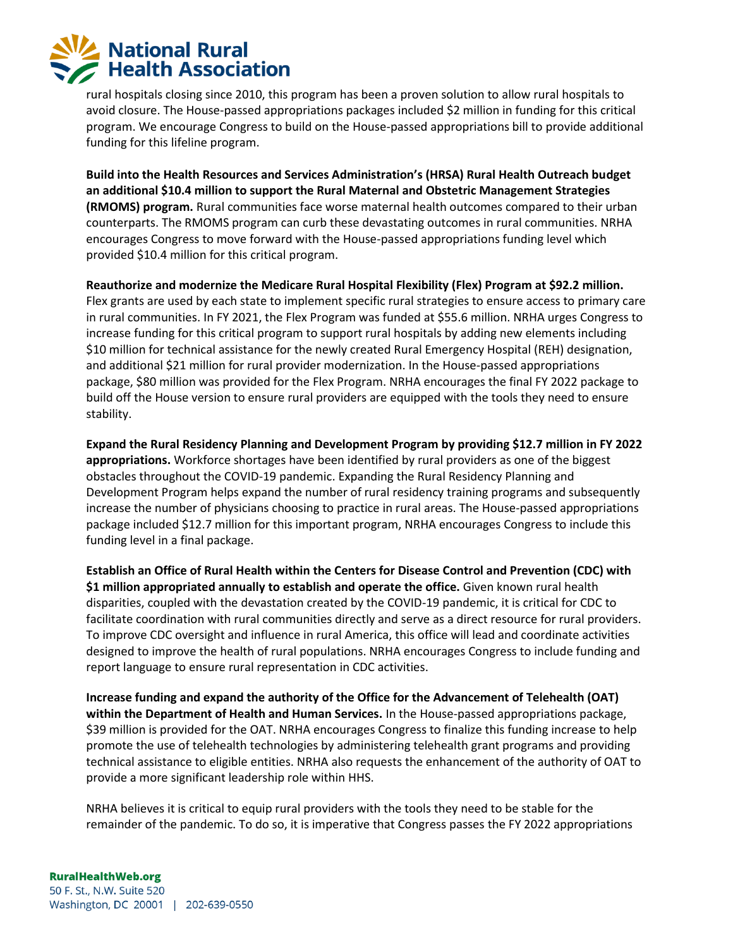

rural hospitals closing since 2010, this program has been a proven solution to allow rural hospitals to avoid closure. The House-passed appropriations packages included \$2 million in funding for this critical program. We encourage Congress to build on the House-passed appropriations bill to provide additional funding for this lifeline program.

**Build into the Health Resources and Services Administration's (HRSA) Rural Health Outreach budget an additional \$10.4 million to support the Rural Maternal and Obstetric Management Strategies (RMOMS) program.** Rural communities face worse maternal health outcomes compared to their urban counterparts. The RMOMS program can curb these devastating outcomes in rural communities. NRHA encourages Congress to move forward with the House-passed appropriations funding level which provided \$10.4 million for this critical program.

**Reauthorize and modernize the Medicare Rural Hospital Flexibility (Flex) Program at \$92.2 million.**  Flex grants are used by each state to implement specific rural strategies to ensure access to primary care in rural communities. In FY 2021, the Flex Program was funded at \$55.6 million. NRHA urges Congress to increase funding for this critical program to support rural hospitals by adding new elements including \$10 million for technical assistance for the newly created Rural Emergency Hospital (REH) designation, and additional \$21 million for rural provider modernization. In the House-passed appropriations package, \$80 million was provided for the Flex Program. NRHA encourages the final FY 2022 package to build off the House version to ensure rural providers are equipped with the tools they need to ensure stability.

**Expand the Rural Residency Planning and Development Program by providing \$12.7 million in FY 2022 appropriations.** Workforce shortages have been identified by rural providers as one of the biggest obstacles throughout the COVID-19 pandemic. Expanding the Rural Residency Planning and Development Program helps expand the number of rural residency training programs and subsequently increase the number of physicians choosing to practice in rural areas. The House-passed appropriations package included \$12.7 million for this important program, NRHA encourages Congress to include this funding level in a final package.

**Establish an Office of Rural Health within the Centers for Disease Control and Prevention (CDC) with \$1 million appropriated annually to establish and operate the office.** Given known rural health disparities, coupled with the devastation created by the COVID-19 pandemic, it is critical for CDC to facilitate coordination with rural communities directly and serve as a direct resource for rural providers. To improve CDC oversight and influence in rural America, this office will lead and coordinate activities designed to improve the health of rural populations. NRHA encourages Congress to include funding and report language to ensure rural representation in CDC activities.

**Increase funding and expand the authority of the Office for the Advancement of Telehealth (OAT) within the Department of Health and Human Services.** In the House-passed appropriations package, \$39 million is provided for the OAT. NRHA encourages Congress to finalize this funding increase to help promote the use of telehealth technologies by administering telehealth grant programs and providing technical assistance to eligible entities. NRHA also requests the enhancement of the authority of OAT to provide a more significant leadership role within HHS.

NRHA believes it is critical to equip rural providers with the tools they need to be stable for the remainder of the pandemic. To do so, it is imperative that Congress passes the FY 2022 appropriations